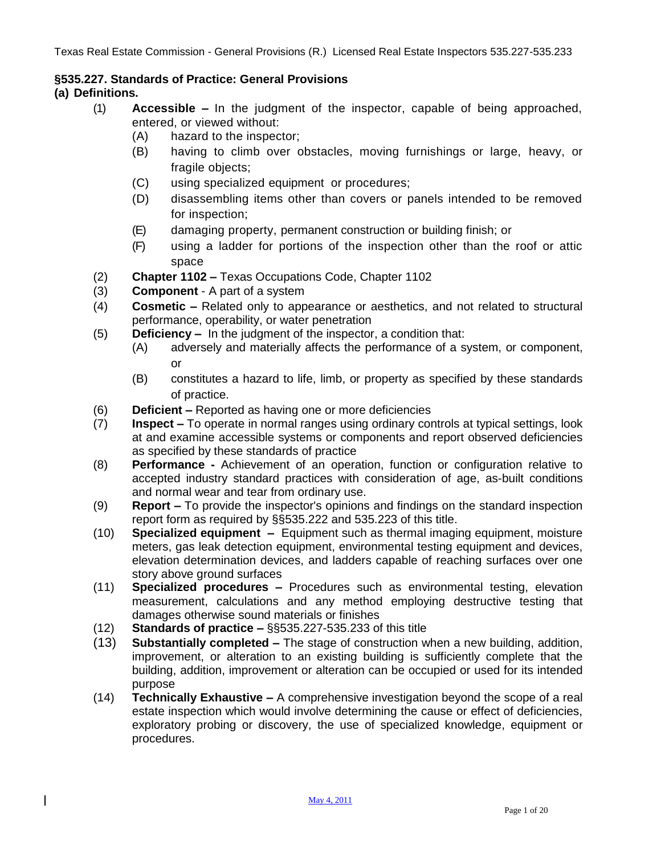### **§535.227. Standards of Practice: General Provisions**

## **(a) Definitions.**

 $\mathsf{l}$ 

- (1) **Accessible –** In the judgment of the inspector, capable of being approached, entered, or viewed without:
	- (A) hazard to the inspector;
	- (B) having to climb over obstacles, moving furnishings or large, heavy, or fragile objects;
	- (C) using specialized equipment or procedures;
	- (D) disassembling items other than covers or panels intended to be removed for inspection;
	- (E) damaging property, permanent construction or building finish; or
	- (F) using a ladder for portions of the inspection other than the roof or attic space
- (2) **Chapter 1102 –** Texas Occupations Code, Chapter 1102
- (3) **Component** A part of a system
- (4) **Cosmetic –** Related only to appearance or aesthetics, and not related to structural performance, operability, or water penetration
- (5) **Deficiency –** In the judgment of the inspector, a condition that:
	- (A) adversely and materially affects the performance of a system, or component, or
	- (B) constitutes a hazard to life, limb, or property as specified by these standards of practice.
- (6) **Deficient –** Reported as having one or more deficiencies
- (7) **Inspect –** To operate in normal ranges using ordinary controls at typical settings, look at and examine accessible systems or components and report observed deficiencies as specified by these standards of practice
- (8) **Performance -** Achievement of an operation, function or configuration relative to accepted industry standard practices with consideration of age, as-built conditions and normal wear and tear from ordinary use.
- (9) **Report –** To provide the inspector's opinions and findings on the standard inspection report form as required by §§535.222 and 535.223 of this title.
- (10) **Specialized equipment –** Equipment such as thermal imaging equipment, moisture meters, gas leak detection equipment, environmental testing equipment and devices, elevation determination devices, and ladders capable of reaching surfaces over one story above ground surfaces
- (11) **Specialized procedures –** Procedures such as environmental testing, elevation measurement, calculations and any method employing destructive testing that damages otherwise sound materials or finishes
- (12) **Standards of practice –** §§535.227-535.233 of this title
- (13) **Substantially completed –** The stage of construction when a new building, addition, improvement, or alteration to an existing building is sufficiently complete that the building, addition, improvement or alteration can be occupied or used for its intended purpose
- (14) **Technically Exhaustive –** A comprehensive investigation beyond the scope of a real estate inspection which would involve determining the cause or effect of deficiencies, exploratory probing or discovery, the use of specialized knowledge, equipment or procedures.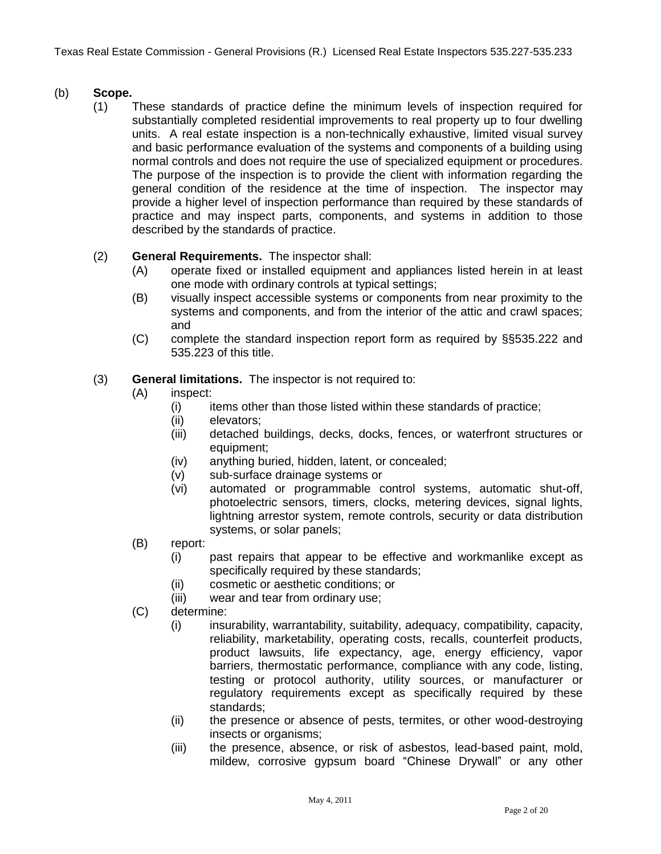## (b) **Scope.**

(1) These standards of practice define the minimum levels of inspection required for substantially completed residential improvements to real property up to four dwelling units. A real estate inspection is a non-technically exhaustive, limited visual survey and basic performance evaluation of the systems and components of a building using normal controls and does not require the use of specialized equipment or procedures. The purpose of the inspection is to provide the client with information regarding the general condition of the residence at the time of inspection. The inspector may provide a higher level of inspection performance than required by these standards of practice and may inspect parts, components, and systems in addition to those described by the standards of practice.

## (2) **General Requirements.** The inspector shall:

- (A) operate fixed or installed equipment and appliances listed herein in at least one mode with ordinary controls at typical settings;
- (B) visually inspect accessible systems or components from near proximity to the systems and components, and from the interior of the attic and crawl spaces; and
- (C) complete the standard inspection report form as required by §§535.222 and 535.223 of this title.
- (3) **General limitations.** The inspector is not required to:
	- (A) inspect:
		- $(i)$  items other than those listed within these standards of practice;
		- (ii) elevators;
		- (iii) detached buildings, decks, docks, fences, or waterfront structures or equipment;
		- (iv) anything buried, hidden, latent, or concealed;
		- (v) sub-surface drainage systems or
		- (vi) automated or programmable control systems, automatic shut-off, photoelectric sensors, timers, clocks, metering devices, signal lights, lightning arrestor system, remote controls, security or data distribution systems, or solar panels;
	- (B) report:
		- (i) past repairs that appear to be effective and workmanlike except as specifically required by these standards;
		- (ii) cosmetic or aesthetic conditions; or
		- (iii) wear and tear from ordinary use;
	- (C) determine:
		- (i) insurability, warrantability, suitability, adequacy, compatibility, capacity, reliability, marketability, operating costs, recalls, counterfeit products, product lawsuits, life expectancy, age, energy efficiency, vapor barriers, thermostatic performance, compliance with any code, listing, testing or protocol authority, utility sources, or manufacturer or regulatory requirements except as specifically required by these standards;
		- (ii) the presence or absence of pests, termites, or other wood-destroying insects or organisms;
		- (iii) the presence, absence, or risk of asbestos, lead-based paint, mold, mildew, corrosive gypsum board "Chinese Drywall" or any other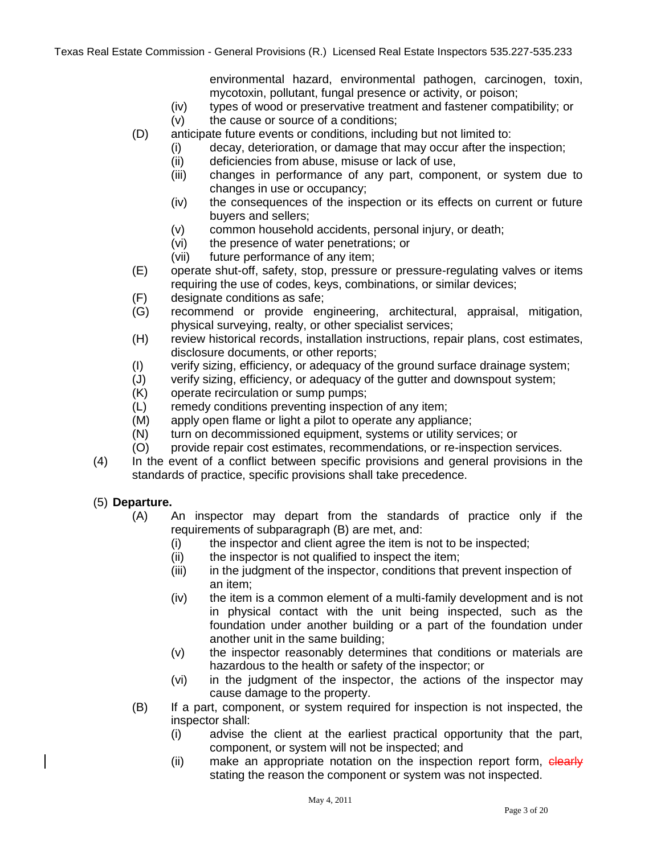environmental hazard, environmental pathogen, carcinogen, toxin, mycotoxin, pollutant, fungal presence or activity, or poison;

- (iv) types of wood or preservative treatment and fastener compatibility; or
- (v) the cause or source of a conditions;
- (D) anticipate future events or conditions, including but not limited to:
	- (i) decay, deterioration, or damage that may occur after the inspection;
	- (ii) deficiencies from abuse, misuse or lack of use,
	- (iii) changes in performance of any part, component, or system due to changes in use or occupancy;
	- (iv) the consequences of the inspection or its effects on current or future buyers and sellers;
	- (v) common household accidents, personal injury, or death;
	- (vi) the presence of water penetrations; or
	- (vii) future performance of any item;
- (E) operate shut-off, safety, stop, pressure or pressure-regulating valves or items requiring the use of codes, keys, combinations, or similar devices;
- (F) designate conditions as safe;
- (G) recommend or provide engineering, architectural, appraisal, mitigation, physical surveying, realty, or other specialist services;
- (H) review historical records, installation instructions, repair plans, cost estimates, disclosure documents, or other reports;
- (I) verify sizing, efficiency, or adequacy of the ground surface drainage system;
- (J) verify sizing, efficiency, or adequacy of the gutter and downspout system;
- (K) operate recirculation or sump pumps;
- (L) remedy conditions preventing inspection of any item;
- (M) apply open flame or light a pilot to operate any appliance;
- (N) turn on decommissioned equipment, systems or utility services; or
- (O) provide repair cost estimates, recommendations, or re-inspection services.
- (4) In the event of a conflict between specific provisions and general provisions in the standards of practice, specific provisions shall take precedence.

#### (5) **Departure.**

- (A) An inspector may depart from the standards of practice only if the requirements of subparagraph (B) are met, and:
	- (i) the inspector and client agree the item is not to be inspected;
	- (ii) the inspector is not qualified to inspect the item;
	- (iii) in the judgment of the inspector, conditions that prevent inspection of an item;
	- (iv) the item is a common element of a multi-family development and is not in physical contact with the unit being inspected, such as the foundation under another building or a part of the foundation under another unit in the same building;
	- (v) the inspector reasonably determines that conditions or materials are hazardous to the health or safety of the inspector; or
	- (vi) in the judgment of the inspector, the actions of the inspector may cause damage to the property.
- (B) If a part, component, or system required for inspection is not inspected, the inspector shall:
	- (i) advise the client at the earliest practical opportunity that the part, component, or system will not be inspected; and
	- (ii) make an appropriate notation on the inspection report form, elearly stating the reason the component or system was not inspected.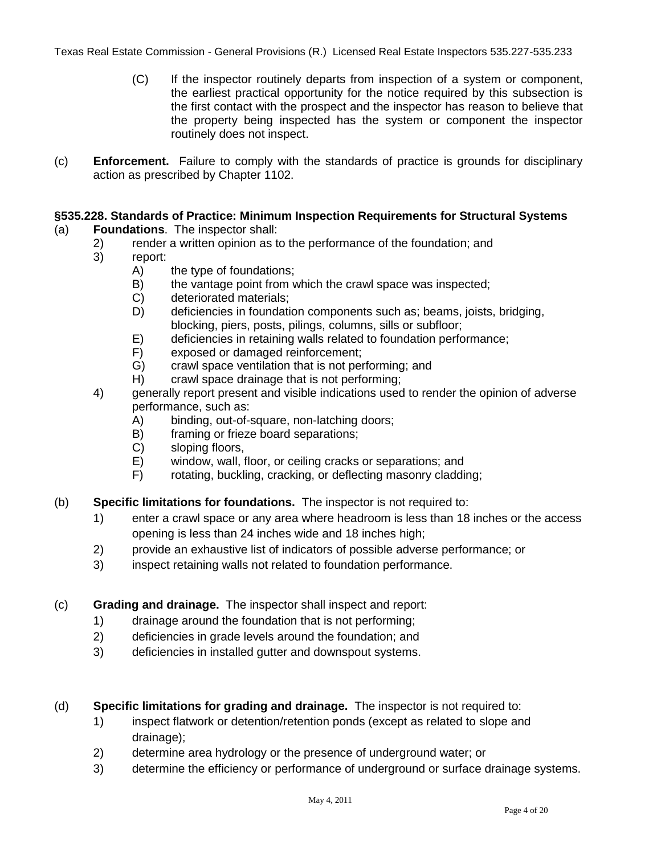- (C) If the inspector routinely departs from inspection of a system or component, the earliest practical opportunity for the notice required by this subsection is the first contact with the prospect and the inspector has reason to believe that the property being inspected has the system or component the inspector routinely does not inspect.
- (c) **Enforcement.** Failure to comply with the standards of practice is grounds for disciplinary action as prescribed by Chapter 1102.

## **§535.228. Standards of Practice: Minimum Inspection Requirements for Structural Systems**

## (a) **Foundations**. The inspector shall:

- 2) render a written opinion as to the performance of the foundation; and
- 3) report:
	- A) the type of foundations;
	- B) the vantage point from which the crawl space was inspected;
	- C) deteriorated materials;
	- D) deficiencies in foundation components such as; beams, joists, bridging, blocking, piers, posts, pilings, columns, sills or subfloor;
	- E) deficiencies in retaining walls related to foundation performance;
	- F) exposed or damaged reinforcement;
	- G) crawl space ventilation that is not performing; and
	- H) crawl space drainage that is not performing;
- 4) generally report present and visible indications used to render the opinion of adverse performance, such as:
	- A) binding, out-of-square, non-latching doors;
	- B) framing or frieze board separations;
	- C) sloping floors,
	- E) window, wall, floor, or ceiling cracks or separations; and
	- F) rotating, buckling, cracking, or deflecting masonry cladding;
- (b) **Specific limitations for foundations.** The inspector is not required to:
	- 1) enter a crawl space or any area where headroom is less than 18 inches or the access opening is less than 24 inches wide and 18 inches high;
	- 2) provide an exhaustive list of indicators of possible adverse performance; or
	- 3) inspect retaining walls not related to foundation performance.
- (c) **Grading and drainage.** The inspector shall inspect and report:
	- 1) drainage around the foundation that is not performing;
	- 2) deficiencies in grade levels around the foundation; and
	- 3) deficiencies in installed gutter and downspout systems.
- (d) **Specific limitations for grading and drainage.** The inspector is not required to:
	- 1) inspect flatwork or detention/retention ponds (except as related to slope and drainage);
	- 2) determine area hydrology or the presence of underground water; or
	- 3) determine the efficiency or performance of underground or surface drainage systems.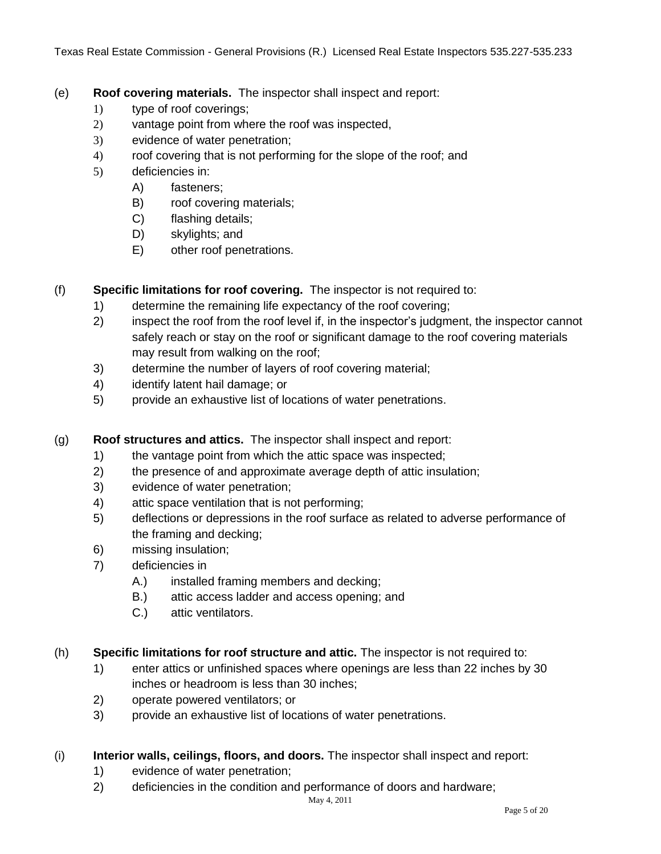- (e) **Roof covering materials.** The inspector shall inspect and report:
	- 1) type of roof coverings;
	- 2) vantage point from where the roof was inspected,
	- 3) evidence of water penetration;
	- 4) roof covering that is not performing for the slope of the roof; and
	- 5) deficiencies in:
		- A) fasteners;
		- B) roof covering materials;
		- C) flashing details;
		- D) skylights; and
		- E) other roof penetrations.

## (f) **Specific limitations for roof covering.** The inspector is not required to:

- 1) determine the remaining life expectancy of the roof covering;
- 2) inspect the roof from the roof level if, in the inspector's judgment, the inspector cannot safely reach or stay on the roof or significant damage to the roof covering materials may result from walking on the roof;
- 3) determine the number of layers of roof covering material;
- 4) identify latent hail damage; or
- 5) provide an exhaustive list of locations of water penetrations.

#### (g) **Roof structures and attics.** The inspector shall inspect and report:

- 1) the vantage point from which the attic space was inspected;
- 2) the presence of and approximate average depth of attic insulation;
- 3) evidence of water penetration;
- 4) attic space ventilation that is not performing;
- 5) deflections or depressions in the roof surface as related to adverse performance of the framing and decking;
- 6) missing insulation;
- 7) deficiencies in
	- A.) installed framing members and decking;
	- B.) attic access ladder and access opening; and
	- C.) attic ventilators.
- (h) **Specific limitations for roof structure and attic.** The inspector is not required to:
	- 1) enter attics or unfinished spaces where openings are less than 22 inches by 30 inches or headroom is less than 30 inches;
	- 2) operate powered ventilators; or
	- 3) provide an exhaustive list of locations of water penetrations.

#### (i) **Interior walls, ceilings, floors, and doors.** The inspector shall inspect and report:

- 1) evidence of water penetration;
- 2) deficiencies in the condition and performance of doors and hardware;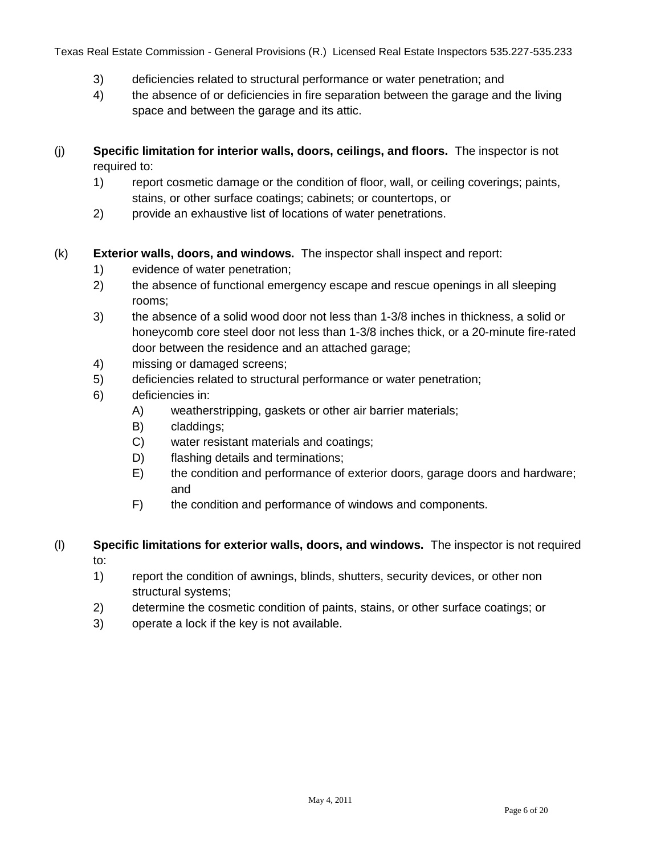- 3) deficiencies related to structural performance or water penetration; and
- 4) the absence of or deficiencies in fire separation between the garage and the living space and between the garage and its attic.
- (j) **Specific limitation for interior walls, doors, ceilings, and floors.** The inspector is not required to:
	- 1) report cosmetic damage or the condition of floor, wall, or ceiling coverings; paints, stains, or other surface coatings; cabinets; or countertops, or
	- 2) provide an exhaustive list of locations of water penetrations.
- (k) **Exterior walls, doors, and windows.** The inspector shall inspect and report:
	- 1) evidence of water penetration;
	- 2) the absence of functional emergency escape and rescue openings in all sleeping rooms;
	- 3) the absence of a solid wood door not less than 1-3/8 inches in thickness, a solid or honeycomb core steel door not less than 1-3/8 inches thick, or a 20-minute fire-rated door between the residence and an attached garage;
	- 4) missing or damaged screens;
	- 5) deficiencies related to structural performance or water penetration;
	- 6) deficiencies in:
		- A) weatherstripping, gaskets or other air barrier materials;
		- B) claddings;
		- C) water resistant materials and coatings;
		- D) flashing details and terminations;
		- E) the condition and performance of exterior doors, garage doors and hardware; and
		- F) the condition and performance of windows and components.
- (l) **Specific limitations for exterior walls, doors, and windows.** The inspector is not required to:
	- 1) report the condition of awnings, blinds, shutters, security devices, or other non structural systems;
	- 2) determine the cosmetic condition of paints, stains, or other surface coatings; or
	- 3) operate a lock if the key is not available.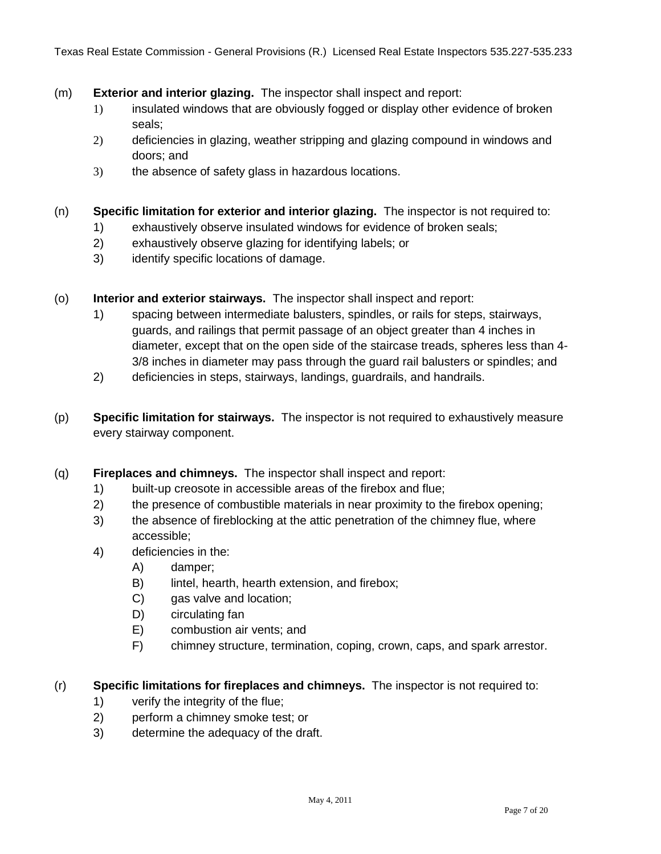- (m) **Exterior and interior glazing.** The inspector shall inspect and report:
	- 1) insulated windows that are obviously fogged or display other evidence of broken seals;
	- 2) deficiencies in glazing, weather stripping and glazing compound in windows and doors; and
	- 3) the absence of safety glass in hazardous locations.
- (n) **Specific limitation for exterior and interior glazing.** The inspector is not required to:
	- 1) exhaustively observe insulated windows for evidence of broken seals;
	- 2) exhaustively observe glazing for identifying labels; or
	- 3) identify specific locations of damage.
- (o) **Interior and exterior stairways.** The inspector shall inspect and report:
	- 1) spacing between intermediate balusters, spindles, or rails for steps, stairways, guards, and railings that permit passage of an object greater than 4 inches in diameter, except that on the open side of the staircase treads, spheres less than 4- 3/8 inches in diameter may pass through the guard rail balusters or spindles; and
	- 2) deficiencies in steps, stairways, landings, guardrails, and handrails.
- (p) **Specific limitation for stairways.** The inspector is not required to exhaustively measure every stairway component.
- (q) **Fireplaces and chimneys.** The inspector shall inspect and report:
	- 1) built-up creosote in accessible areas of the firebox and flue;
	- 2) the presence of combustible materials in near proximity to the firebox opening;
	- 3) the absence of fireblocking at the attic penetration of the chimney flue, where accessible;
	- 4) deficiencies in the:
		- A) damper;
		- B) lintel, hearth, hearth extension, and firebox;
		- C) gas valve and location;
		- D) circulating fan
		- E) combustion air vents; and
		- F) chimney structure, termination, coping, crown, caps, and spark arrestor.

#### (r) **Specific limitations for fireplaces and chimneys.** The inspector is not required to:

- 1) verify the integrity of the flue;
- 2) perform a chimney smoke test; or
- 3) determine the adequacy of the draft.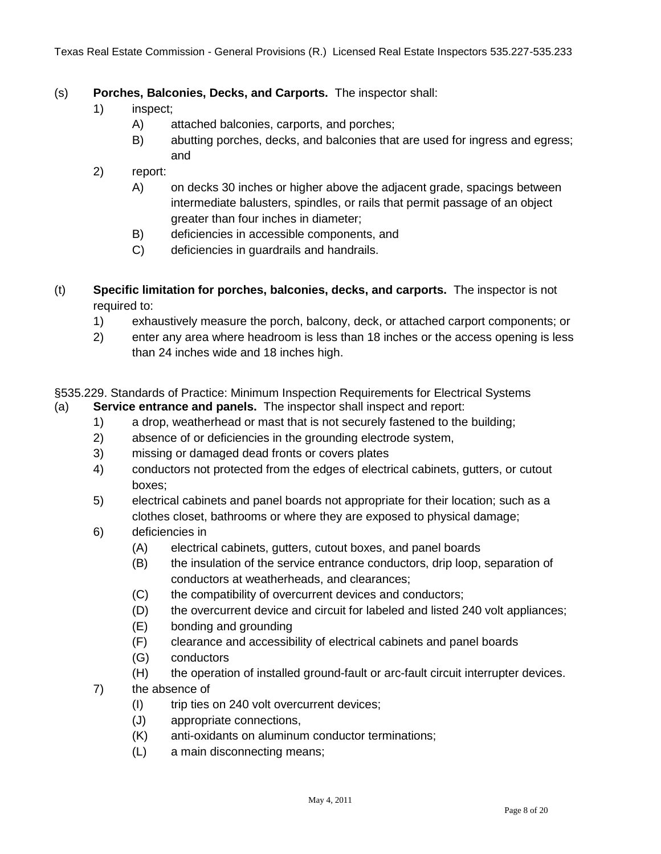### (s) **Porches, Balconies, Decks, and Carports.** The inspector shall:

- 1) inspect;
	- A) attached balconies, carports, and porches;
	- B) abutting porches, decks, and balconies that are used for ingress and egress; and
- 2) report:
	- A) on decks 30 inches or higher above the adjacent grade, spacings between intermediate balusters, spindles, or rails that permit passage of an object greater than four inches in diameter;
	- B) deficiencies in accessible components, and
	- C) deficiencies in guardrails and handrails.
- (t) **Specific limitation for porches, balconies, decks, and carports.** The inspector is not required to:
	- 1) exhaustively measure the porch, balcony, deck, or attached carport components; or
	- 2) enter any area where headroom is less than 18 inches or the access opening is less than 24 inches wide and 18 inches high.
- §535.229. Standards of Practice: Minimum Inspection Requirements for Electrical Systems
- (a) **Service entrance and panels.** The inspector shall inspect and report:
	- 1) a drop, weatherhead or mast that is not securely fastened to the building;
	- 2) absence of or deficiencies in the grounding electrode system,
	- 3) missing or damaged dead fronts or covers plates
	- 4) conductors not protected from the edges of electrical cabinets, gutters, or cutout boxes;
	- 5) electrical cabinets and panel boards not appropriate for their location; such as a clothes closet, bathrooms or where they are exposed to physical damage;
	- 6) deficiencies in
		- (A) electrical cabinets, gutters, cutout boxes, and panel boards
		- (B) the insulation of the service entrance conductors, drip loop, separation of conductors at weatherheads, and clearances;
		- (C) the compatibility of overcurrent devices and conductors;
		- (D) the overcurrent device and circuit for labeled and listed 240 volt appliances;
		- (E) bonding and grounding
		- (F) clearance and accessibility of electrical cabinets and panel boards
		- (G) conductors
		- (H) the operation of installed ground-fault or arc-fault circuit interrupter devices.
	- 7) the absence of
		- (I) trip ties on 240 volt overcurrent devices;
		- (J) appropriate connections,
		- (K) anti-oxidants on aluminum conductor terminations;
		- (L) a main disconnecting means;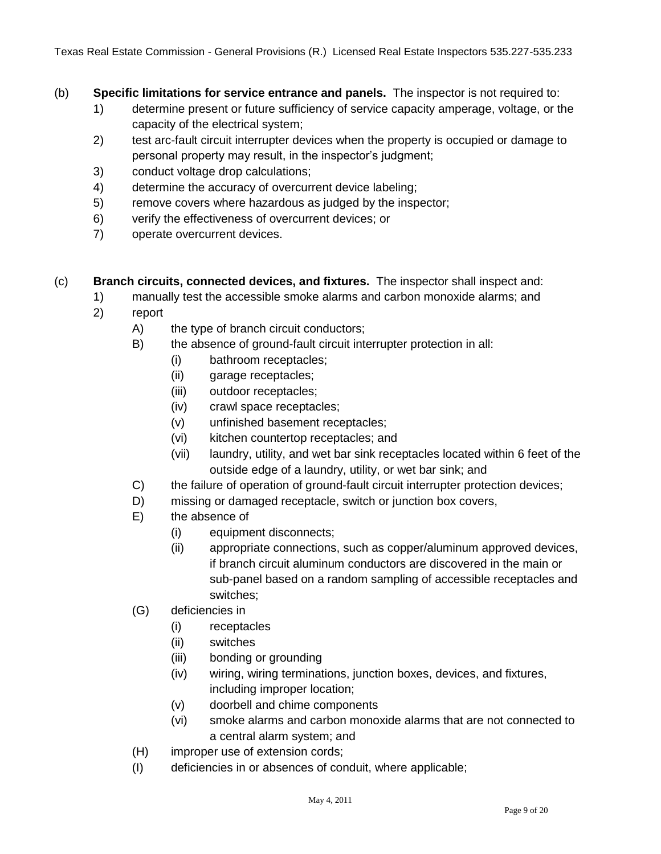- (b) **Specific limitations for service entrance and panels.** The inspector is not required to:
	- 1) determine present or future sufficiency of service capacity amperage, voltage, or the capacity of the electrical system;
	- 2) test arc-fault circuit interrupter devices when the property is occupied or damage to personal property may result, in the inspector's judgment;
	- 3) conduct voltage drop calculations;
	- 4) determine the accuracy of overcurrent device labeling;
	- 5) remove covers where hazardous as judged by the inspector;
	- 6) verify the effectiveness of overcurrent devices; or
	- 7) operate overcurrent devices.
- (c) **Branch circuits, connected devices, and fixtures.** The inspector shall inspect and:
	- 1) manually test the accessible smoke alarms and carbon monoxide alarms; and
	- 2) report
		- A) the type of branch circuit conductors;
		- B) the absence of ground-fault circuit interrupter protection in all:
			- (i) bathroom receptacles;
			- (ii) garage receptacles;
			- (iii) outdoor receptacles;
			- (iv) crawl space receptacles;
			- (v) unfinished basement receptacles;
			- (vi) kitchen countertop receptacles; and
			- (vii) laundry, utility, and wet bar sink receptacles located within 6 feet of the outside edge of a laundry, utility, or wet bar sink; and
		- C) the failure of operation of ground-fault circuit interrupter protection devices;
		- D) missing or damaged receptacle, switch or junction box covers,
		- E) the absence of
			- (i) equipment disconnects;
			- (ii) appropriate connections, such as copper/aluminum approved devices, if branch circuit aluminum conductors are discovered in the main or sub-panel based on a random sampling of accessible receptacles and switches;
		- (G) deficiencies in
			- (i) receptacles
			- (ii) switches
			- (iii) bonding or grounding
			- (iv) wiring, wiring terminations, junction boxes, devices, and fixtures, including improper location;
			- (v) doorbell and chime components
			- (vi) smoke alarms and carbon monoxide alarms that are not connected to a central alarm system; and
		- (H) improper use of extension cords;
		- (I) deficiencies in or absences of conduit, where applicable;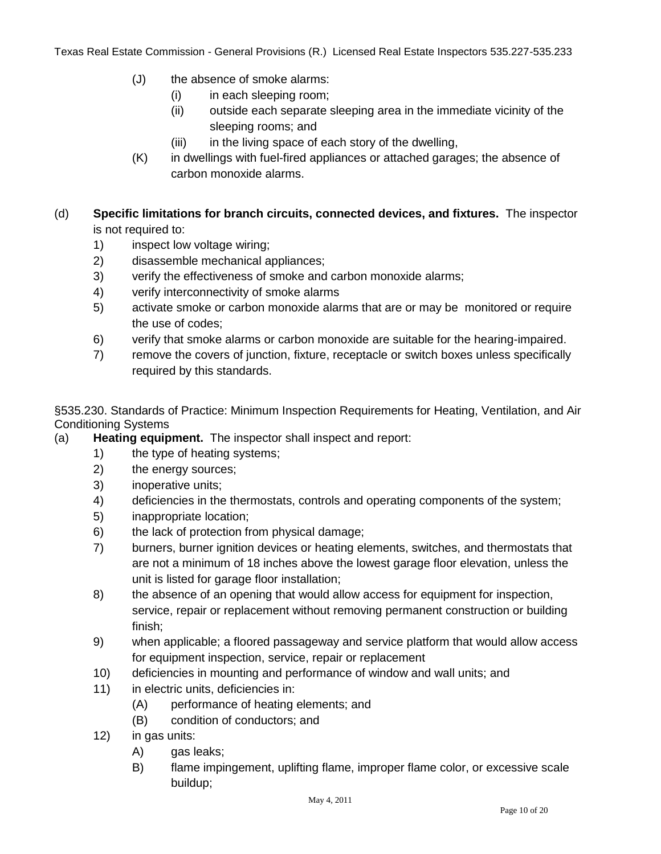- (J) the absence of smoke alarms:
	- (i) in each sleeping room;
	- (ii) outside each separate sleeping area in the immediate vicinity of the sleeping rooms; and
	- (iii) in the living space of each story of the dwelling,
- (K) in dwellings with fuel-fired appliances or attached garages; the absence of carbon monoxide alarms.

## (d) **Specific limitations for branch circuits, connected devices, and fixtures.** The inspector is not required to:

- 1) inspect low voltage wiring;
- 2) disassemble mechanical appliances;
- 3) verify the effectiveness of smoke and carbon monoxide alarms;
- 4) verify interconnectivity of smoke alarms
- 5) activate smoke or carbon monoxide alarms that are or may be monitored or require the use of codes;
- 6) verify that smoke alarms or carbon monoxide are suitable for the hearing-impaired.
- 7) remove the covers of junction, fixture, receptacle or switch boxes unless specifically required by this standards.

§535.230. Standards of Practice: Minimum Inspection Requirements for Heating, Ventilation, and Air Conditioning Systems

- (a) **Heating equipment.** The inspector shall inspect and report:
	- 1) the type of heating systems;
	- 2) the energy sources;
	- 3) inoperative units;
	- 4) deficiencies in the thermostats, controls and operating components of the system;
	- 5) inappropriate location;
	- 6) the lack of protection from physical damage;
	- 7) burners, burner ignition devices or heating elements, switches, and thermostats that are not a minimum of 18 inches above the lowest garage floor elevation, unless the unit is listed for garage floor installation;
	- 8) the absence of an opening that would allow access for equipment for inspection, service, repair or replacement without removing permanent construction or building finish;
	- 9) when applicable; a floored passageway and service platform that would allow access for equipment inspection, service, repair or replacement
	- 10) deficiencies in mounting and performance of window and wall units; and
	- 11) in electric units, deficiencies in:
		- (A) performance of heating elements; and
		- (B) condition of conductors; and
	- 12) in gas units:
		- A) gas leaks;
		- B) flame impingement, uplifting flame, improper flame color, or excessive scale buildup;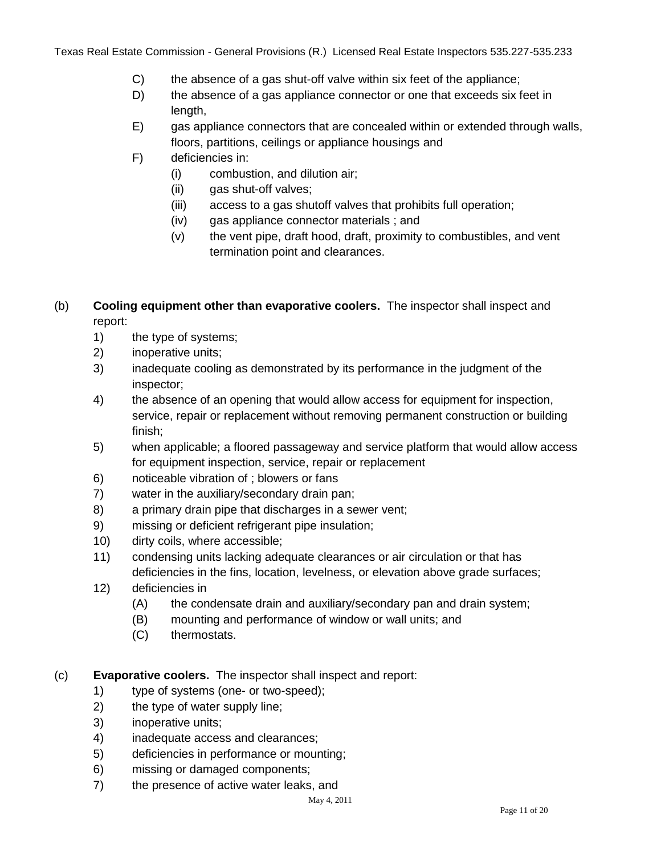- C) the absence of a gas shut-off valve within six feet of the appliance;
- D) the absence of a gas appliance connector or one that exceeds six feet in length,
- E) gas appliance connectors that are concealed within or extended through walls, floors, partitions, ceilings or appliance housings and
- F) deficiencies in:
	- (i) combustion, and dilution air;
	- (ii) gas shut-off valves;
	- (iii) access to a gas shutoff valves that prohibits full operation;
	- (iv) gas appliance connector materials ; and
	- (v) the vent pipe, draft hood, draft, proximity to combustibles, and vent termination point and clearances.

## (b) **Cooling equipment other than evaporative coolers.** The inspector shall inspect and report:

- 1) the type of systems;
- 2) inoperative units;
- 3) inadequate cooling as demonstrated by its performance in the judgment of the inspector;
- 4) the absence of an opening that would allow access for equipment for inspection, service, repair or replacement without removing permanent construction or building finish;
- 5) when applicable; a floored passageway and service platform that would allow access for equipment inspection, service, repair or replacement
- 6) noticeable vibration of ; blowers or fans
- 7) water in the auxiliary/secondary drain pan;
- 8) a primary drain pipe that discharges in a sewer vent;
- 9) missing or deficient refrigerant pipe insulation;
- 10) dirty coils, where accessible;
- 11) condensing units lacking adequate clearances or air circulation or that has deficiencies in the fins, location, levelness, or elevation above grade surfaces;
- 12) deficiencies in
	- (A) the condensate drain and auxiliary/secondary pan and drain system;
	- (B) mounting and performance of window or wall units; and
	- (C) thermostats.
- (c) **Evaporative coolers.** The inspector shall inspect and report:
	- 1) type of systems (one- or two-speed);
	- 2) the type of water supply line;
	- 3) inoperative units;
	- 4) inadequate access and clearances;
	- 5) deficiencies in performance or mounting;
	- 6) missing or damaged components;
	- 7) the presence of active water leaks, and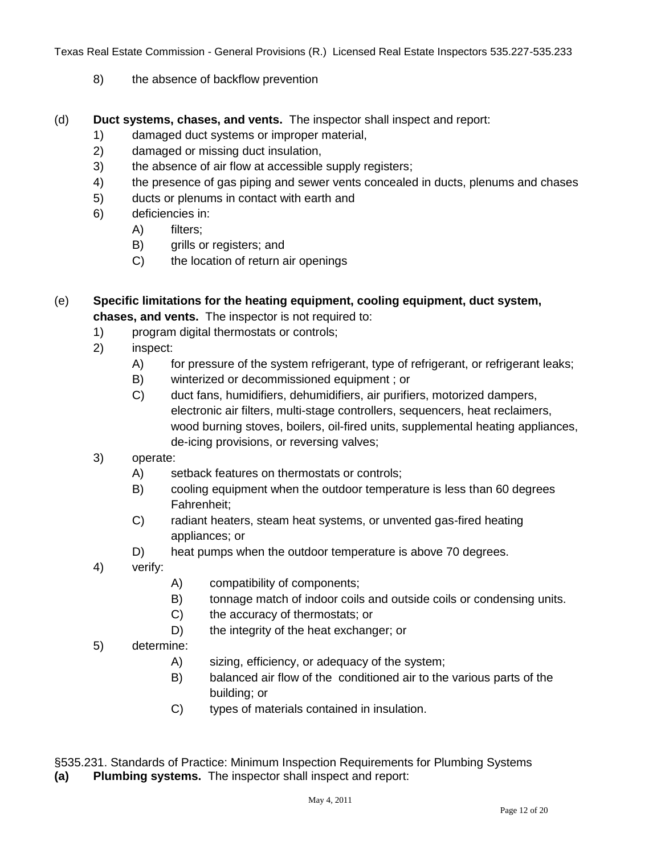- 8) the absence of backflow prevention
- (d) **Duct systems, chases, and vents.** The inspector shall inspect and report:
	- 1) damaged duct systems or improper material,
	- 2) damaged or missing duct insulation,
	- 3) the absence of air flow at accessible supply registers;
	- 4) the presence of gas piping and sewer vents concealed in ducts, plenums and chases
	- 5) ducts or plenums in contact with earth and
	- 6) deficiencies in:
		- A) filters;
		- B) grills or registers; and
		- C) the location of return air openings
- (e) **Specific limitations for the heating equipment, cooling equipment, duct system, chases, and vents.** The inspector is not required to:
	- 1) program digital thermostats or controls;
	- 2) inspect:
		- A) for pressure of the system refrigerant, type of refrigerant, or refrigerant leaks;
		- B) winterized or decommissioned equipment ; or
		- C) duct fans, humidifiers, dehumidifiers, air purifiers, motorized dampers, electronic air filters, multi-stage controllers, sequencers, heat reclaimers, wood burning stoves, boilers, oil-fired units, supplemental heating appliances, de-icing provisions, or reversing valves;
	- 3) operate:
		- A) setback features on thermostats or controls;
		- B) cooling equipment when the outdoor temperature is less than 60 degrees Fahrenheit;
		- C) radiant heaters, steam heat systems, or unvented gas-fired heating appliances; or
		- D) heat pumps when the outdoor temperature is above 70 degrees.
	- 4) verify:
- A) compatibility of components;
- B) tonnage match of indoor coils and outside coils or condensing units.
- C) the accuracy of thermostats; or
- D) the integrity of the heat exchanger; or
- 5) determine:
	- A) sizing, efficiency, or adequacy of the system;
	- B) balanced air flow of the conditioned air to the various parts of the building; or
	- C) types of materials contained in insulation.

§535.231. Standards of Practice: Minimum Inspection Requirements for Plumbing Systems **(a) Plumbing systems.** The inspector shall inspect and report: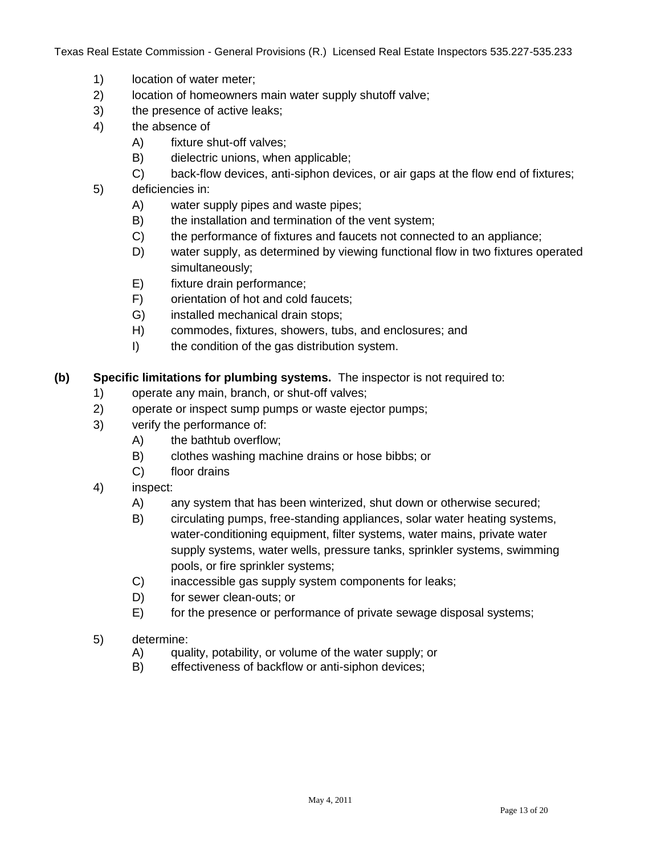- 1) location of water meter;
- 2) location of homeowners main water supply shutoff valve;
- 3) the presence of active leaks;
- 4) the absence of
	- A) fixture shut-off valves;
	- B) dielectric unions, when applicable;
	- C) back-flow devices, anti-siphon devices, or air gaps at the flow end of fixtures;
- 5) deficiencies in:
	- A) water supply pipes and waste pipes;
	- B) the installation and termination of the vent system;
	- C) the performance of fixtures and faucets not connected to an appliance;
	- D) water supply, as determined by viewing functional flow in two fixtures operated simultaneously;
	- E) fixture drain performance;
	- F) orientation of hot and cold faucets;
	- G) installed mechanical drain stops;
	- H) commodes, fixtures, showers, tubs, and enclosures; and
	- I) the condition of the gas distribution system.

**(b) Specific limitations for plumbing systems.** The inspector is not required to:

- 1) operate any main, branch, or shut-off valves;
- 2) operate or inspect sump pumps or waste ejector pumps;
- 3) verify the performance of:
	- A) the bathtub overflow;
	- B) clothes washing machine drains or hose bibbs; or
	- C) floor drains
- 4) inspect:
	- A) any system that has been winterized, shut down or otherwise secured;
	- B) circulating pumps, free-standing appliances, solar water heating systems, water-conditioning equipment, filter systems, water mains, private water supply systems, water wells, pressure tanks, sprinkler systems, swimming pools, or fire sprinkler systems;
	- C) inaccessible gas supply system components for leaks;
	- D) for sewer clean-outs; or
	- E) for the presence or performance of private sewage disposal systems;
- 5) determine:
	- A) quality, potability, or volume of the water supply; or
	- B) effectiveness of backflow or anti-siphon devices;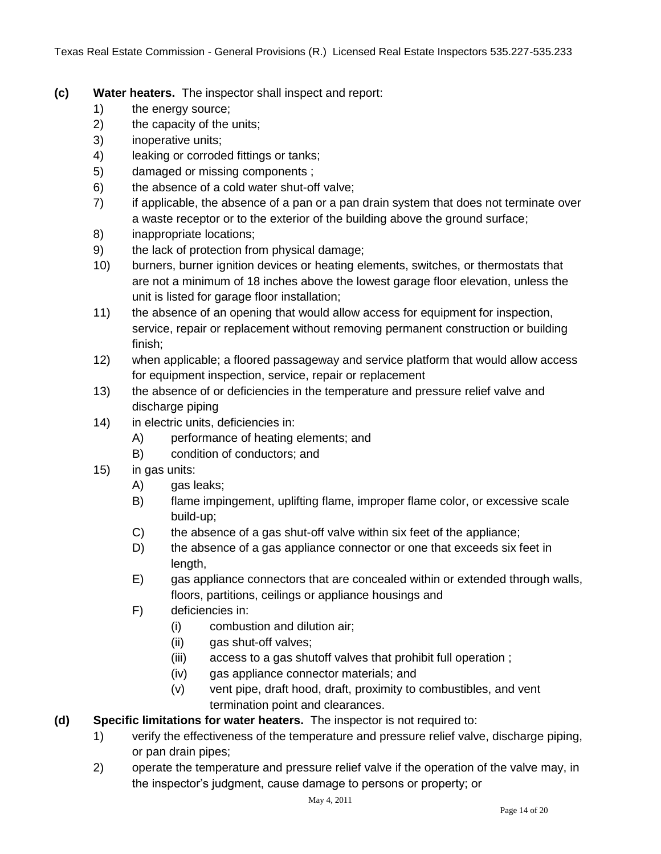- **(c) Water heaters.** The inspector shall inspect and report:
	- 1) the energy source;
	- 2) the capacity of the units;
	- 3) inoperative units;
	- 4) leaking or corroded fittings or tanks;
	- 5) damaged or missing components ;
	- 6) the absence of a cold water shut-off valve;
	- 7) if applicable, the absence of a pan or a pan drain system that does not terminate over a waste receptor or to the exterior of the building above the ground surface;
	- 8) inappropriate locations;
	- 9) the lack of protection from physical damage;
	- 10) burners, burner ignition devices or heating elements, switches, or thermostats that are not a minimum of 18 inches above the lowest garage floor elevation, unless the unit is listed for garage floor installation;
	- 11) the absence of an opening that would allow access for equipment for inspection, service, repair or replacement without removing permanent construction or building finish;
	- 12) when applicable; a floored passageway and service platform that would allow access for equipment inspection, service, repair or replacement
	- 13) the absence of or deficiencies in the temperature and pressure relief valve and discharge piping
	- 14) in electric units, deficiencies in:
		- A) performance of heating elements; and
		- B) condition of conductors; and
	- 15) in gas units:
		- A) gas leaks;
		- B) flame impingement, uplifting flame, improper flame color, or excessive scale build-up;
		- C) the absence of a gas shut-off valve within six feet of the appliance;
		- D) the absence of a gas appliance connector or one that exceeds six feet in length,
		- E) gas appliance connectors that are concealed within or extended through walls, floors, partitions, ceilings or appliance housings and
		- F) deficiencies in:
			- (i) combustion and dilution air;
			- (ii) gas shut-off valves;
			- (iii) access to a gas shutoff valves that prohibit full operation ;
			- (iv) gas appliance connector materials; and
			- (v) vent pipe, draft hood, draft, proximity to combustibles, and vent termination point and clearances.

# **(d) Specific limitations for water heaters.** The inspector is not required to:

- 1) verify the effectiveness of the temperature and pressure relief valve, discharge piping, or pan drain pipes;
- 2) operate the temperature and pressure relief valve if the operation of the valve may, in the inspector's judgment, cause damage to persons or property; or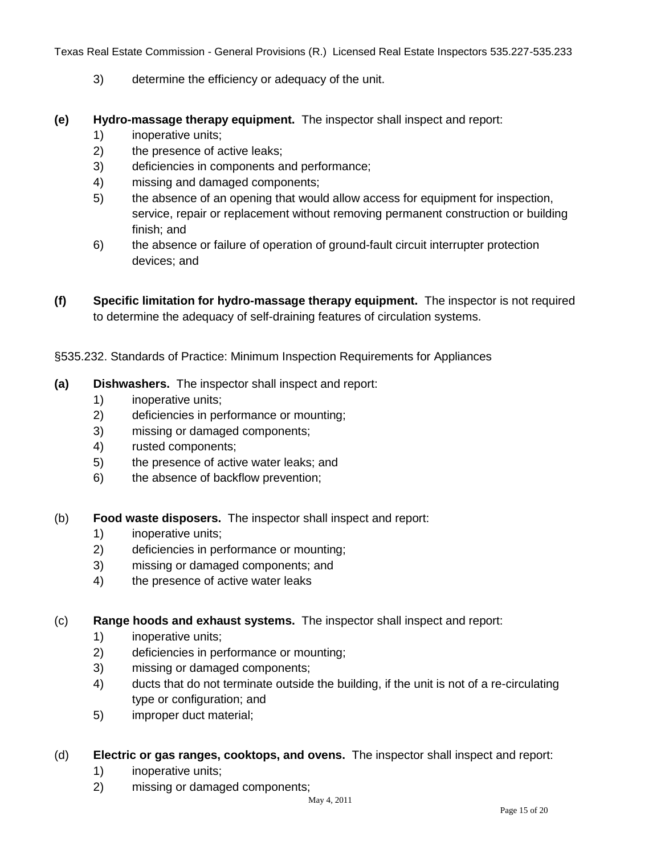- 3) determine the efficiency or adequacy of the unit.
- **(e) Hydro-massage therapy equipment.** The inspector shall inspect and report:
	- 1) inoperative units;
	- 2) the presence of active leaks;
	- 3) deficiencies in components and performance;
	- 4) missing and damaged components;
	- 5) the absence of an opening that would allow access for equipment for inspection, service, repair or replacement without removing permanent construction or building finish; and
	- 6) the absence or failure of operation of ground-fault circuit interrupter protection devices; and
- **(f) Specific limitation for hydro-massage therapy equipment.** The inspector is not required to determine the adequacy of self-draining features of circulation systems.
- §535.232. Standards of Practice: Minimum Inspection Requirements for Appliances
- **(a) Dishwashers.** The inspector shall inspect and report:
	- 1) inoperative units;
	- 2) deficiencies in performance or mounting;
	- 3) missing or damaged components;
	- 4) rusted components;
	- 5) the presence of active water leaks; and
	- 6) the absence of backflow prevention;
- (b) **Food waste disposers.** The inspector shall inspect and report:
	- 1) inoperative units;
	- 2) deficiencies in performance or mounting;
	- 3) missing or damaged components; and
	- 4) the presence of active water leaks

(c) **Range hoods and exhaust systems.** The inspector shall inspect and report:

- 1) inoperative units;
- 2) deficiencies in performance or mounting;
- 3) missing or damaged components;
- 4) ducts that do not terminate outside the building, if the unit is not of a re-circulating type or configuration; and
- 5) improper duct material;
- (d) **Electric or gas ranges, cooktops, and ovens.** The inspector shall inspect and report:
	- 1) inoperative units;
	- 2) missing or damaged components;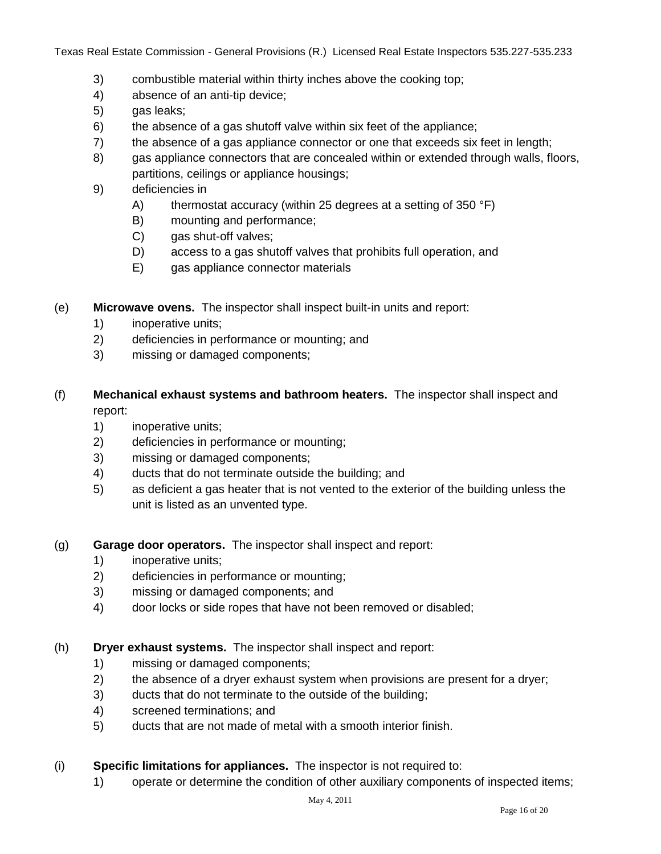- 3) combustible material within thirty inches above the cooking top;
- 4) absence of an anti-tip device;
- 5) gas leaks;
- 6) the absence of a gas shutoff valve within six feet of the appliance;
- 7) the absence of a gas appliance connector or one that exceeds six feet in length;
- 8) gas appliance connectors that are concealed within or extended through walls, floors, partitions, ceilings or appliance housings;
- 9) deficiencies in
	- A) thermostat accuracy (within 25 degrees at a setting of 350 °F)
	- B) mounting and performance;
	- C) gas shut-off valves;
	- D) access to a gas shutoff valves that prohibits full operation, and
	- E) gas appliance connector materials
- (e) **Microwave ovens.** The inspector shall inspect built-in units and report:
	- 1) inoperative units;
	- 2) deficiencies in performance or mounting; and
	- 3) missing or damaged components;
- (f) **Mechanical exhaust systems and bathroom heaters.** The inspector shall inspect and report:
	- 1) inoperative units;
	- 2) deficiencies in performance or mounting;
	- 3) missing or damaged components;
	- 4) ducts that do not terminate outside the building; and
	- 5) as deficient a gas heater that is not vented to the exterior of the building unless the unit is listed as an unvented type.
- (g) **Garage door operators.** The inspector shall inspect and report:
	- 1) inoperative units;
	- 2) deficiencies in performance or mounting;
	- 3) missing or damaged components; and
	- 4) door locks or side ropes that have not been removed or disabled;
- (h) **Dryer exhaust systems.** The inspector shall inspect and report:
	- 1) missing or damaged components;
	- 2) the absence of a dryer exhaust system when provisions are present for a dryer;
	- 3) ducts that do not terminate to the outside of the building;
	- 4) screened terminations; and
	- 5) ducts that are not made of metal with a smooth interior finish.
- (i) **Specific limitations for appliances.** The inspector is not required to:
	- 1) operate or determine the condition of other auxiliary components of inspected items;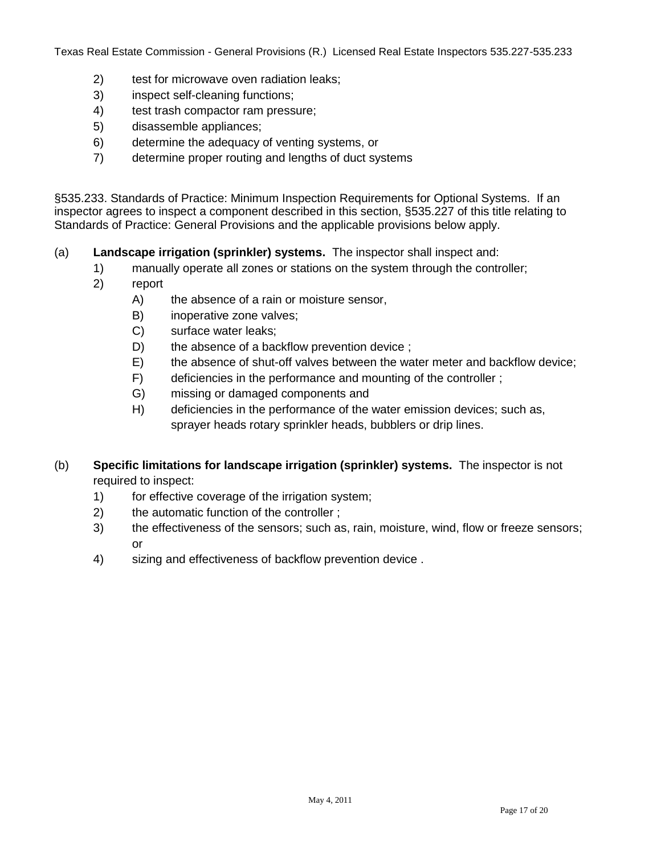- 2) test for microwave oven radiation leaks;
- 3) inspect self-cleaning functions;
- 4) test trash compactor ram pressure;
- 5) disassemble appliances;
- 6) determine the adequacy of venting systems, or
- 7) determine proper routing and lengths of duct systems

§535.233. Standards of Practice: Minimum Inspection Requirements for Optional Systems. If an inspector agrees to inspect a component described in this section, §535.227 of this title relating to Standards of Practice: General Provisions and the applicable provisions below apply.

#### (a) **Landscape irrigation (sprinkler) systems.** The inspector shall inspect and:

- 1) manually operate all zones or stations on the system through the controller;
- 2) report
	- A) the absence of a rain or moisture sensor,
	- B) inoperative zone valves;
	- C) surface water leaks;
	- D) the absence of a backflow prevention device ;
	- E) the absence of shut-off valves between the water meter and backflow device;
	- F) deficiencies in the performance and mounting of the controller ;
	- G) missing or damaged components and
	- H) deficiencies in the performance of the water emission devices; such as, sprayer heads rotary sprinkler heads, bubblers or drip lines.
- (b) **Specific limitations for landscape irrigation (sprinkler) systems.** The inspector is not required to inspect:
	- 1) for effective coverage of the irrigation system;
	- 2) the automatic function of the controller ;
	- 3) the effectiveness of the sensors; such as, rain, moisture, wind, flow or freeze sensors; or
	- 4) sizing and effectiveness of backflow prevention device .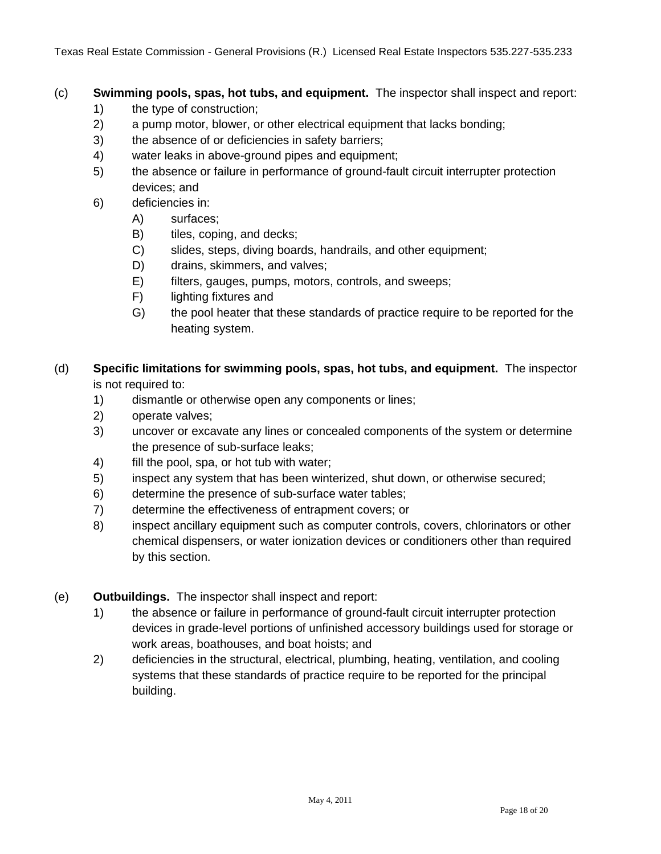## (c) **Swimming pools, spas, hot tubs, and equipment.** The inspector shall inspect and report:

- 1) the type of construction;
- 2) a pump motor, blower, or other electrical equipment that lacks bonding;
- 3) the absence of or deficiencies in safety barriers;
- 4) water leaks in above-ground pipes and equipment;
- 5) the absence or failure in performance of ground-fault circuit interrupter protection devices; and
- 6) deficiencies in:
	- A) surfaces;
	- B) tiles, coping, and decks;
	- C) slides, steps, diving boards, handrails, and other equipment;
	- D) drains, skimmers, and valves;
	- E) filters, gauges, pumps, motors, controls, and sweeps;
	- F) lighting fixtures and
	- G) the pool heater that these standards of practice require to be reported for the heating system.
- (d) **Specific limitations for swimming pools, spas, hot tubs, and equipment.** The inspector is not required to:
	- 1) dismantle or otherwise open any components or lines;
	- 2) operate valves;
	- 3) uncover or excavate any lines or concealed components of the system or determine the presence of sub-surface leaks;
	- 4) fill the pool, spa, or hot tub with water;
	- 5) inspect any system that has been winterized, shut down, or otherwise secured;
	- 6) determine the presence of sub-surface water tables;
	- 7) determine the effectiveness of entrapment covers; or
	- 8) inspect ancillary equipment such as computer controls, covers, chlorinators or other chemical dispensers, or water ionization devices or conditioners other than required by this section.
- (e) **Outbuildings.** The inspector shall inspect and report:
	- 1) the absence or failure in performance of ground-fault circuit interrupter protection devices in grade-level portions of unfinished accessory buildings used for storage or work areas, boathouses, and boat hoists; and
	- 2) deficiencies in the structural, electrical, plumbing, heating, ventilation, and cooling systems that these standards of practice require to be reported for the principal building.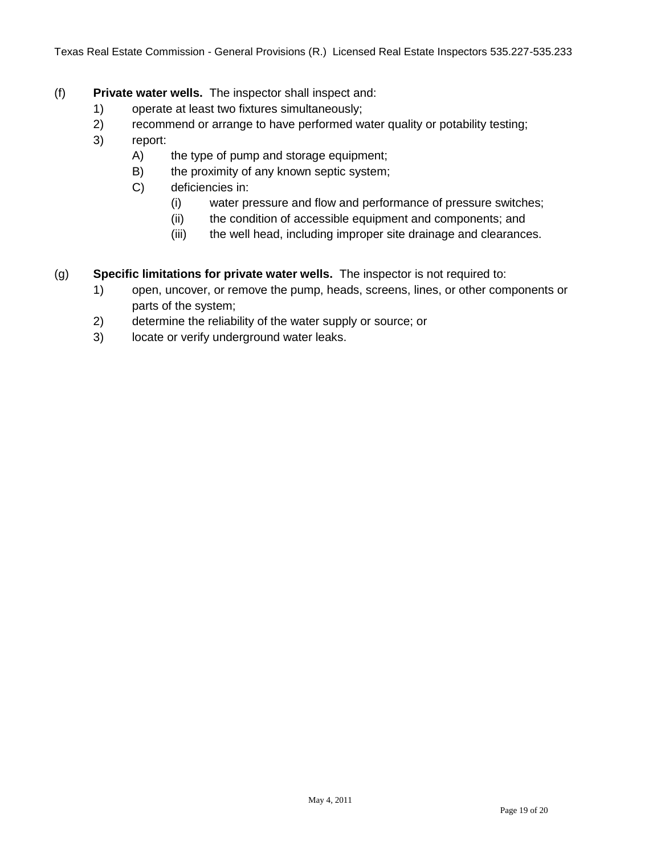- (f) **Private water wells.** The inspector shall inspect and:
	- 1) operate at least two fixtures simultaneously;
	- 2) recommend or arrange to have performed water quality or potability testing;
	- 3) report:
		- A) the type of pump and storage equipment;
		- B) the proximity of any known septic system;
		- C) deficiencies in:
			- (i) water pressure and flow and performance of pressure switches;
			- (ii) the condition of accessible equipment and components; and
			- (iii) the well head, including improper site drainage and clearances.
- (g) **Specific limitations for private water wells.** The inspector is not required to:
	- 1) open, uncover, or remove the pump, heads, screens, lines, or other components or parts of the system;
	- 2) determine the reliability of the water supply or source; or
	- 3) locate or verify underground water leaks.